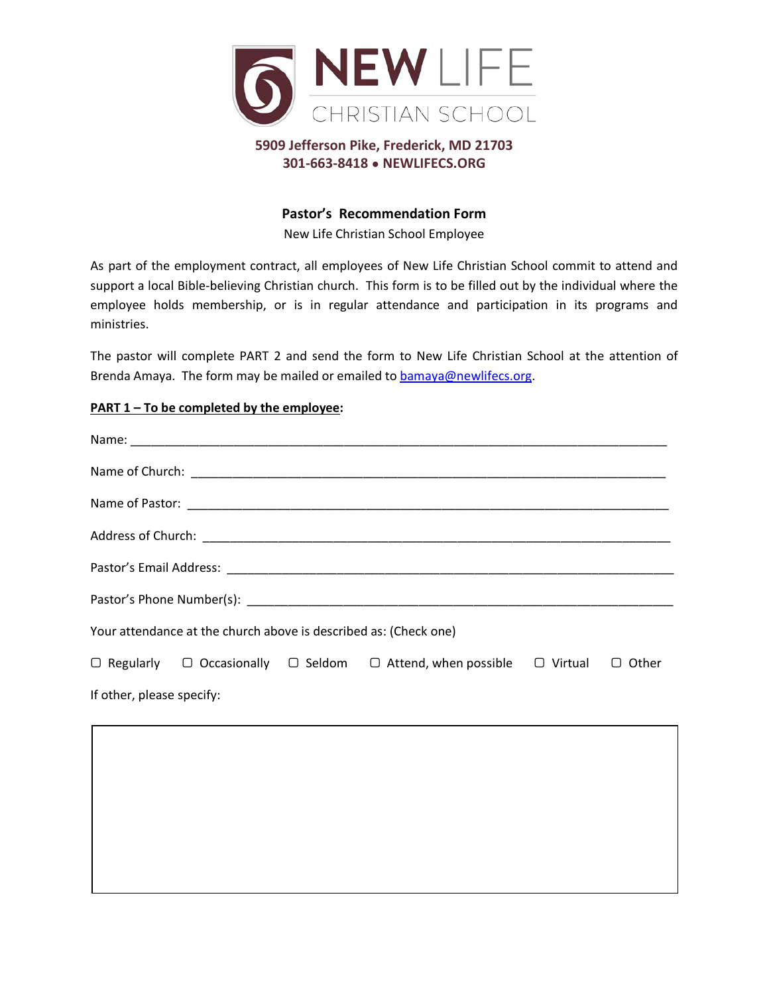

## **5909 Jefferson Pike, Frederick, MD 21703 301-663-8418 ● NEWLIFECS.ORG**

## **Pastor's Recommendation Form**

New Life Christian School Employee

As part of the employment contract, all employees of New Life Christian School commit to attend and support a local Bible-believing Christian church. This form is to be filled out by the individual where the employee holds membership, or is in regular attendance and participation in its programs and ministries.

The pastor will complete PART 2 and send the form to New Life Christian School at the attention of Brenda Amaya. The form may be mailed or emailed to bamaya@newlifecs.org.

## **PART 1 – To be completed by the employee:**

| Your attendance at the church above is described as: (Check one) |  |  |                                                                                                             |  |  |  |
|------------------------------------------------------------------|--|--|-------------------------------------------------------------------------------------------------------------|--|--|--|
|                                                                  |  |  | $\Box$ Regularly $\Box$ Occasionally $\Box$ Seldom $\Box$ Attend, when possible $\Box$ Virtual $\Box$ Other |  |  |  |
| If other, please specify:                                        |  |  |                                                                                                             |  |  |  |